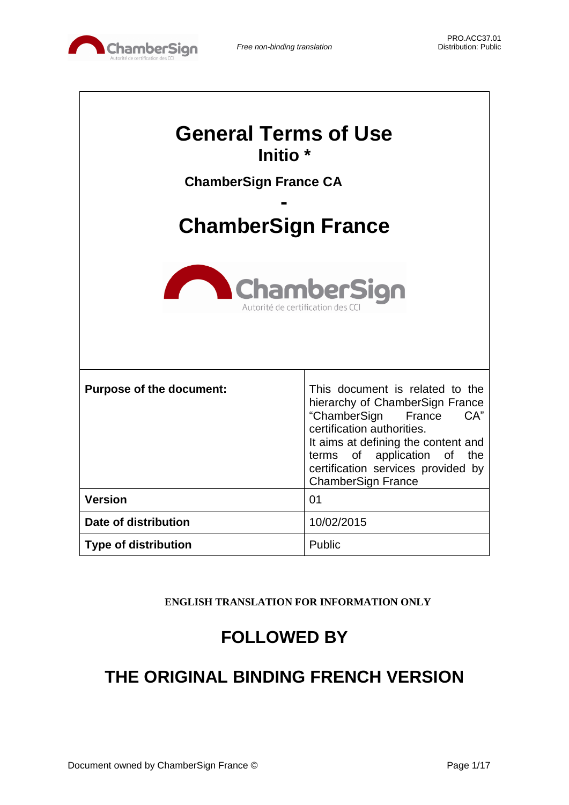

| <b>General Terms of Use</b><br>Initio <sup>*</sup>                                  |            |  |
|-------------------------------------------------------------------------------------|------------|--|
|                                                                                     |            |  |
| <b>ChamberSign France CA</b>                                                        |            |  |
| <b>ChamberSign France</b><br><b>ChamberSign</b><br>Autorité de certification des CO |            |  |
|                                                                                     |            |  |
| <b>Version</b>                                                                      | 01         |  |
| Date of distribution                                                                | 10/02/2015 |  |
| <b>Type of distribution</b>                                                         | Public     |  |

**ENGLISH TRANSLATION FOR INFORMATION ONLY**

# **FOLLOWED BY**

# **THE ORIGINAL BINDING FRENCH VERSION**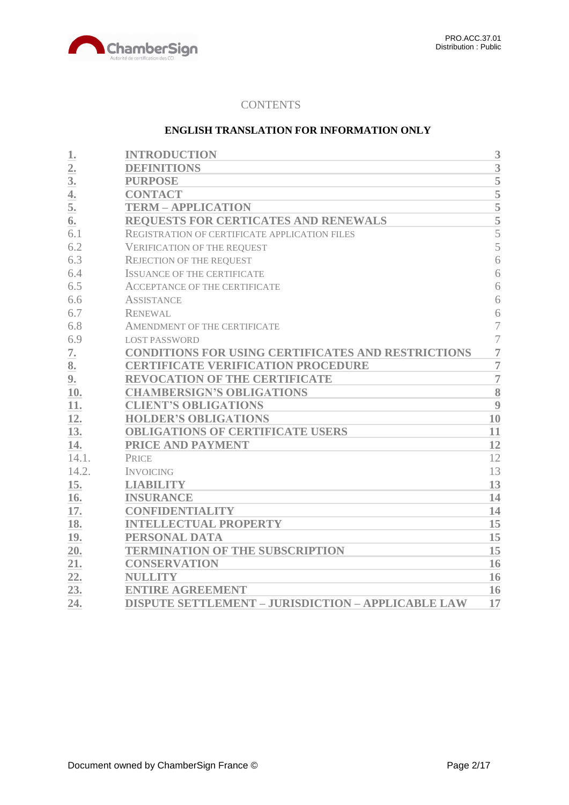

## **CONTENTS**

## **ENGLISH TRANSLATION FOR INFORMATION ONLY**

| 1.               | <b>INTRODUCTION</b>                                       | 3              |
|------------------|-----------------------------------------------------------|----------------|
| $\overline{2}$ . | <b>DEFINITIONS</b>                                        | 3              |
| 3 <sub>l</sub>   | <b>PURPOSE</b>                                            | 5              |
| 4.               | <b>CONTACT</b>                                            | $\overline{5}$ |
| 5.               | <b>TERM - APPLICATION</b>                                 |                |
| 6.               | REQUESTS FOR CERTICATES AND RENEWALS                      | $\frac{5}{5}$  |
| 6.1              | REGISTRATION OF CERTIFICATE APPLICATION FILES             | $\overline{5}$ |
| 6.2              | <b>VERIFICATION OF THE REQUEST</b>                        | 5              |
| 6.3              | <b>REJECTION OF THE REQUEST</b>                           | 6              |
| 6.4              | <b>ISSUANCE OF THE CERTIFICATE</b>                        | 6              |
| 6.5              | <b>ACCEPTANCE OF THE CERTIFICATE</b>                      | 6              |
| 6.6              | <b>ASSISTANCE</b>                                         | 6              |
| 6.7              | <b>RENEWAL</b>                                            | 6              |
| 6.8              | AMENDMENT OF THE CERTIFICATE                              | $\overline{7}$ |
| 6.9              | <b>LOST PASSWORD</b>                                      | $\overline{7}$ |
| 7.               | <b>CONDITIONS FOR USING CERTIFICATES AND RESTRICTIONS</b> | $\overline{7}$ |
| 8.               | <b>CERTIFICATE VERIFICATION PROCEDURE</b>                 | $\overline{7}$ |
| 9.               | <b>REVOCATION OF THE CERTIFICATE</b>                      | $\overline{7}$ |
| 10.              | <b>CHAMBERSIGN'S OBLIGATIONS</b>                          | 8              |
| 11.              | <b>CLIENT'S OBLIGATIONS</b>                               | 9              |
| 12.              | <b>HOLDER'S OBLIGATIONS</b>                               | 10             |
| 13.              | <b>OBLIGATIONS OF CERTIFICATE USERS</b>                   | 11             |
| 14.              | PRICE AND PAYMENT                                         | 12             |
| 14.1.            | <b>PRICE</b>                                              | 12             |
| 14.2.            | <b>INVOICING</b>                                          | 13             |
| 15.              | <b>LIABILITY</b>                                          | 13             |
| 16.              | <b>INSURANCE</b>                                          | 14             |
| 17.              | <b>CONFIDENTIALITY</b>                                    | 14             |
| 18.              | <b>INTELLECTUAL PROPERTY</b>                              | 15             |
| 19.              | PERSONAL DATA                                             | 15             |
| 20.              | <b>TERMINATION OF THE SUBSCRIPTION</b>                    | 15             |
| 21.              | <b>CONSERVATION</b>                                       | 16             |
| 22.              | <b>NULLITY</b>                                            | 16             |
| 23.              | <b>ENTIRE AGREEMENT</b>                                   | 16             |
| 24.              | <b>DISPUTE SETTLEMENT - JURISDICTION - APPLICABLE LAW</b> | 17             |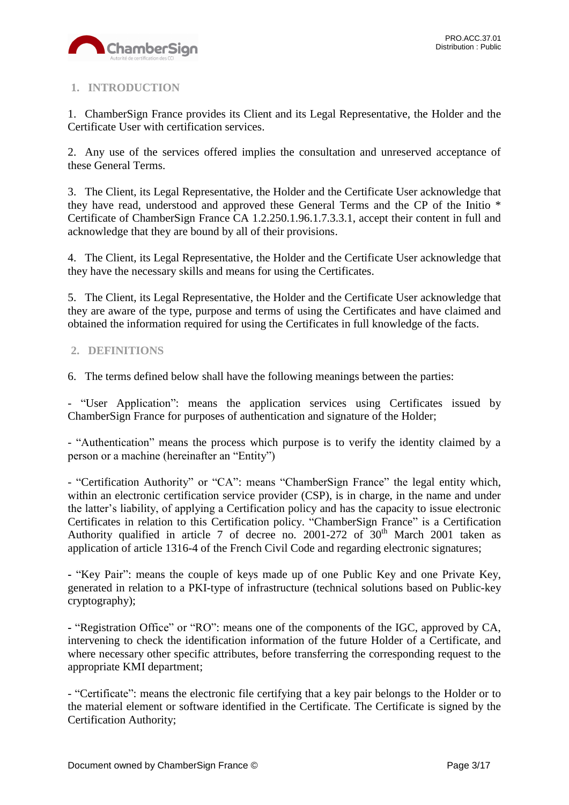

# <span id="page-2-0"></span>**1. INTRODUCTION**

1. ChamberSign France provides its Client and its Legal Representative, the Holder and the Certificate User with certification services.

2. Any use of the services offered implies the consultation and unreserved acceptance of these General Terms.

3. The Client, its Legal Representative, the Holder and the Certificate User acknowledge that they have read, understood and approved these General Terms and the CP of the Initio \* Certificate of ChamberSign France CA 1.2.250.1.96.1.7.3.3.1, accept their content in full and acknowledge that they are bound by all of their provisions.

4. The Client, its Legal Representative, the Holder and the Certificate User acknowledge that they have the necessary skills and means for using the Certificates.

5. The Client, its Legal Representative, the Holder and the Certificate User acknowledge that they are aware of the type, purpose and terms of using the Certificates and have claimed and obtained the information required for using the Certificates in full knowledge of the facts.

## <span id="page-2-1"></span>**2. DEFINITIONS**

6. The terms defined below shall have the following meanings between the parties:

- "User Application": means the application services using Certificates issued by ChamberSign France for purposes of authentication and signature of the Holder;

- "Authentication" means the process which purpose is to verify the identity claimed by a person or a machine (hereinafter an "Entity")

- "Certification Authority" or "CA": means "ChamberSign France" the legal entity which, within an electronic certification service provider (CSP), is in charge, in the name and under the latter's liability, of applying a Certification policy and has the capacity to issue electronic Certificates in relation to this Certification policy. "ChamberSign France" is a Certification Authority qualified in article 7 of decree no. 2001-272 of  $30<sup>th</sup>$  March 2001 taken as application of article 1316-4 of the French Civil Code and regarding electronic signatures;

**-** "Key Pair": means the couple of keys made up of one Public Key and one Private Key, generated in relation to a PKI-type of infrastructure (technical solutions based on Public-key cryptography);

**-** "Registration Office" or "RO": means one of the components of the IGC, approved by CA, intervening to check the identification information of the future Holder of a Certificate, and where necessary other specific attributes, before transferring the corresponding request to the appropriate KMI department;

- "Certificate": means the electronic file certifying that a key pair belongs to the Holder or to the material element or software identified in the Certificate. The Certificate is signed by the Certification Authority;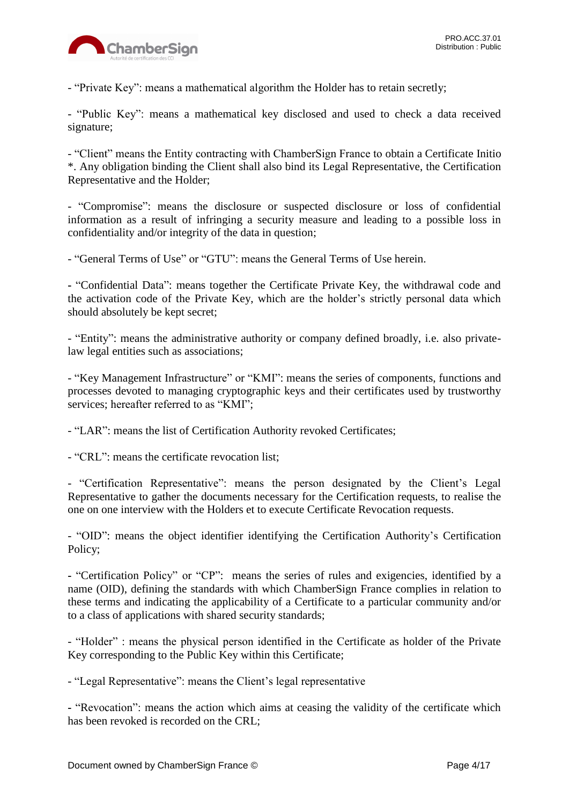

- "Private Key": means a mathematical algorithm the Holder has to retain secretly;

- "Public Key": means a mathematical key disclosed and used to check a data received signature;

- "Client" means the Entity contracting with ChamberSign France to obtain a Certificate Initio \*. Any obligation binding the Client shall also bind its Legal Representative, the Certification Representative and the Holder;

- "Compromise": means the disclosure or suspected disclosure or loss of confidential information as a result of infringing a security measure and leading to a possible loss in confidentiality and/or integrity of the data in question;

- "General Terms of Use" or "GTU": means the General Terms of Use herein.

**-** "Confidential Data": means together the Certificate Private Key, the withdrawal code and the activation code of the Private Key, which are the holder's strictly personal data which should absolutely be kept secret;

- "Entity": means the administrative authority or company defined broadly, i.e. also privatelaw legal entities such as associations;

- "Key Management Infrastructure" or "KMI": means the series of components, functions and processes devoted to managing cryptographic keys and their certificates used by trustworthy services; hereafter referred to as "KMI";

- "LAR": means the list of Certification Authority revoked Certificates;

- "CRL": means the certificate revocation list;

- "Certification Representative": means the person designated by the Client's Legal Representative to gather the documents necessary for the Certification requests, to realise the one on one interview with the Holders et to execute Certificate Revocation requests.

- "OID": means the object identifier identifying the Certification Authority's Certification Policy;

**-** "Certification Policy" or "CP": means the series of rules and exigencies, identified by a name (OID), defining the standards with which ChamberSign France complies in relation to these terms and indicating the applicability of a Certificate to a particular community and/or to a class of applications with shared security standards;

- "Holder" : means the physical person identified in the Certificate as holder of the Private Key corresponding to the Public Key within this Certificate;

- "Legal Representative": means the Client's legal representative

**-** "Revocation": means the action which aims at ceasing the validity of the certificate which has been revoked is recorded on the CRL;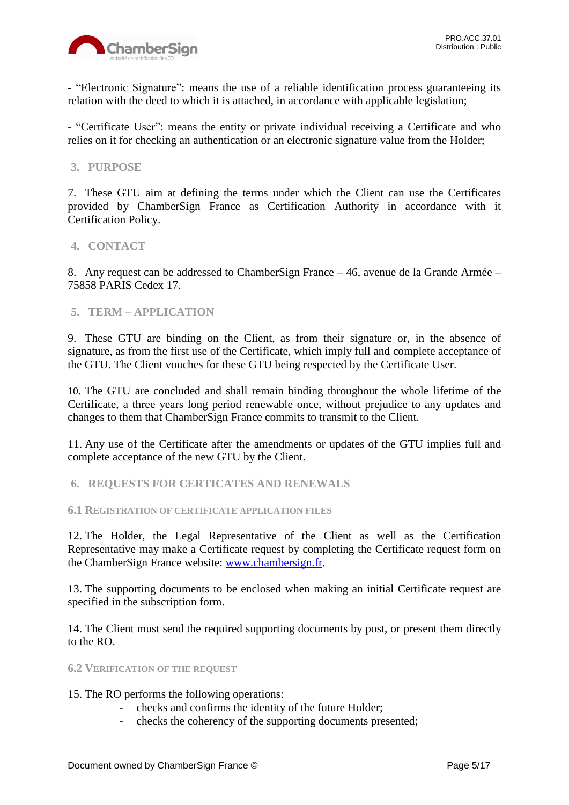

**-** "Electronic Signature": means the use of a reliable identification process guaranteeing its relation with the deed to which it is attached, in accordance with applicable legislation;

- "Certificate User": means the entity or private individual receiving a Certificate and who relies on it for checking an authentication or an electronic signature value from the Holder;

## <span id="page-4-0"></span>**3. PURPOSE**

7. These GTU aim at defining the terms under which the Client can use the Certificates provided by ChamberSign France as Certification Authority in accordance with it Certification Policy.

## <span id="page-4-1"></span>**4. CONTACT**

8. Any request can be addressed to ChamberSign France – 46, avenue de la Grande Armée – 75858 PARIS Cedex 17.

## <span id="page-4-2"></span>**5. TERM – APPLICATION**

9. These GTU are binding on the Client, as from their signature or, in the absence of signature, as from the first use of the Certificate, which imply full and complete acceptance of the GTU. The Client vouches for these GTU being respected by the Certificate User.

10. The GTU are concluded and shall remain binding throughout the whole lifetime of the Certificate, a three years long period renewable once, without prejudice to any updates and changes to them that ChamberSign France commits to transmit to the Client.

11. Any use of the Certificate after the amendments or updates of the GTU implies full and complete acceptance of the new GTU by the Client.

<span id="page-4-3"></span>**6. REQUESTS FOR CERTICATES AND RENEWALS**

<span id="page-4-4"></span>**6.1 REGISTRATION OF CERTIFICATE APPLICATION FILES**

12. The Holder, the Legal Representative of the Client as well as the Certification Representative may make a Certificate request by completing the Certificate request form on the ChamberSign France website: [www.chambersign.fr.](http://www.chambersign.fr/)

13. The supporting documents to be enclosed when making an initial Certificate request are specified in the subscription form.

14. The Client must send the required supporting documents by post, or present them directly to the RO.

### <span id="page-4-5"></span>**6.2 VERIFICATION OF THE REQUEST**

15. The RO performs the following operations:

- checks and confirms the identity of the future Holder;
- checks the coherency of the supporting documents presented;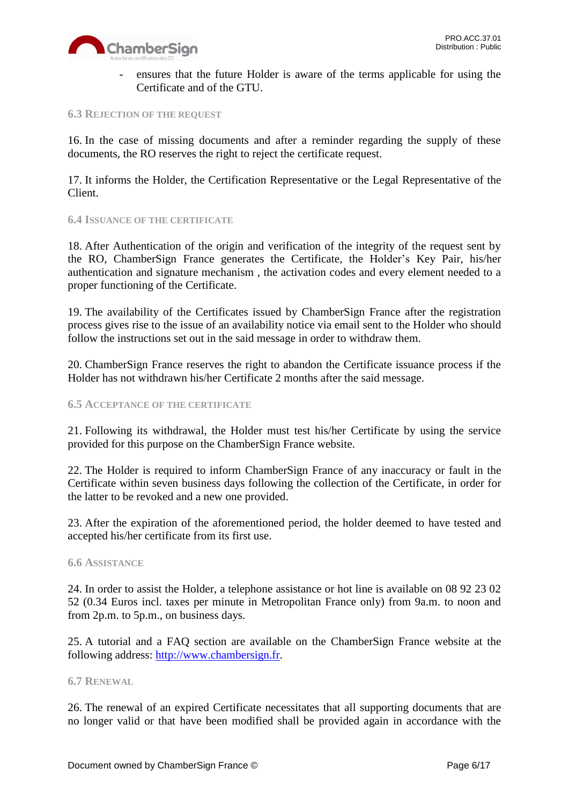

ensures that the future Holder is aware of the terms applicable for using the Certificate and of the GTU.

#### <span id="page-5-0"></span>**6.3 REJECTION OF THE REQUEST**

16. In the case of missing documents and after a reminder regarding the supply of these documents, the RO reserves the right to reject the certificate request.

17. It informs the Holder, the Certification Representative or the Legal Representative of the Client.

#### <span id="page-5-1"></span>**6.4 ISSUANCE OF THE CERTIFICATE**

18. After Authentication of the origin and verification of the integrity of the request sent by the RO, ChamberSign France generates the Certificate, the Holder's Key Pair, his/her authentication and signature mechanism , the activation codes and every element needed to a proper functioning of the Certificate.

19. The availability of the Certificates issued by ChamberSign France after the registration process gives rise to the issue of an availability notice via email sent to the Holder who should follow the instructions set out in the said message in order to withdraw them.

20. ChamberSign France reserves the right to abandon the Certificate issuance process if the Holder has not withdrawn his/her Certificate 2 months after the said message.

### <span id="page-5-2"></span>**6.5 ACCEPTANCE OF THE CERTIFICATE**

21. Following its withdrawal, the Holder must test his/her Certificate by using the service provided for this purpose on the ChamberSign France website.

22. The Holder is required to inform ChamberSign France of any inaccuracy or fault in the Certificate within seven business days following the collection of the Certificate, in order for the latter to be revoked and a new one provided.

23. After the expiration of the aforementioned period, the holder deemed to have tested and accepted his/her certificate from its first use.

#### <span id="page-5-3"></span>**6.6 ASSISTANCE**

24. In order to assist the Holder, a telephone assistance or hot line is available on 08 92 23 02 52 (0.34 Euros incl. taxes per minute in Metropolitan France only) from 9a.m. to noon and from 2p.m. to 5p.m., on business days.

25. A tutorial and a FAQ section are available on the ChamberSign France website at the following address: [http://www.chambersign.fr.](http://www.chambersign.fr/)

#### <span id="page-5-4"></span>**6.7 RENEWAL**

26. The renewal of an expired Certificate necessitates that all supporting documents that are no longer valid or that have been modified shall be provided again in accordance with the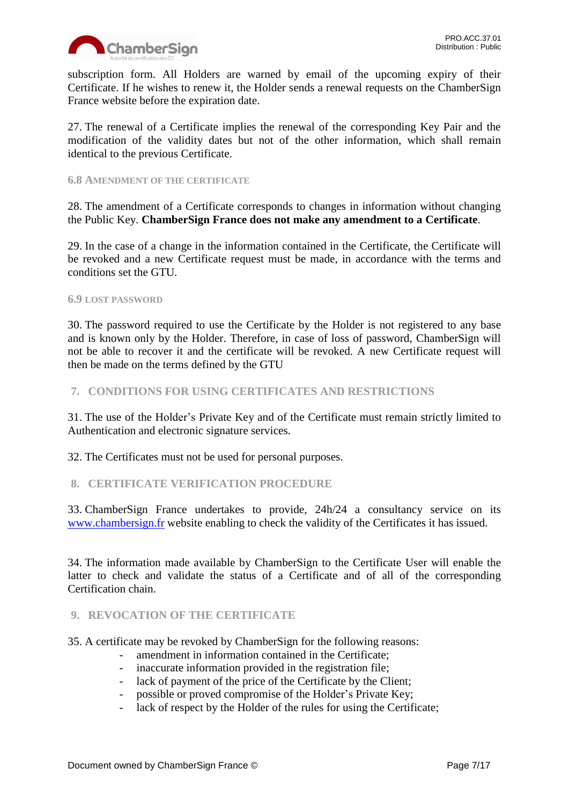

subscription form. All Holders are warned by email of the upcoming expiry of their Certificate. If he wishes to renew it, the Holder sends a renewal requests on the ChamberSign France website before the expiration date.

27. The renewal of a Certificate implies the renewal of the corresponding Key Pair and the modification of the validity dates but not of the other information, which shall remain identical to the previous Certificate.

## <span id="page-6-0"></span>**6.8 AMENDMENT OF THE CERTIFICATE**

28. The amendment of a Certificate corresponds to changes in information without changing the Public Key. **ChamberSign France does not make any amendment to a Certificate**.

29. In the case of a change in the information contained in the Certificate, the Certificate will be revoked and a new Certificate request must be made, in accordance with the terms and conditions set the GTU.

## <span id="page-6-1"></span>**6.9 LOST PASSWORD**

30. The password required to use the Certificate by the Holder is not registered to any base and is known only by the Holder. Therefore, in case of loss of password, ChamberSign will not be able to recover it and the certificate will be revoked. A new Certificate request will then be made on the terms defined by the GTU

## <span id="page-6-2"></span>**7. CONDITIONS FOR USING CERTIFICATES AND RESTRICTIONS**

31. The use of the Holder's Private Key and of the Certificate must remain strictly limited to Authentication and electronic signature services.

32. The Certificates must not be used for personal purposes.

## <span id="page-6-3"></span>**8. CERTIFICATE VERIFICATION PROCEDURE**

33. ChamberSign France undertakes to provide, 24h/24 a consultancy service on its [www.chambersign.fr](http://www.chambersign.fr/) website enabling to check the validity of the Certificates it has issued.

34. The information made available by ChamberSign to the Certificate User will enable the latter to check and validate the status of a Certificate and of all of the corresponding Certification chain.

## <span id="page-6-4"></span>**9. REVOCATION OF THE CERTIFICATE**

35. A certificate may be revoked by ChamberSign for the following reasons:

- amendment in information contained in the Certificate;
- inaccurate information provided in the registration file;
- lack of payment of the price of the Certificate by the Client;
- possible or proved compromise of the Holder's Private Key;
- lack of respect by the Holder of the rules for using the Certificate;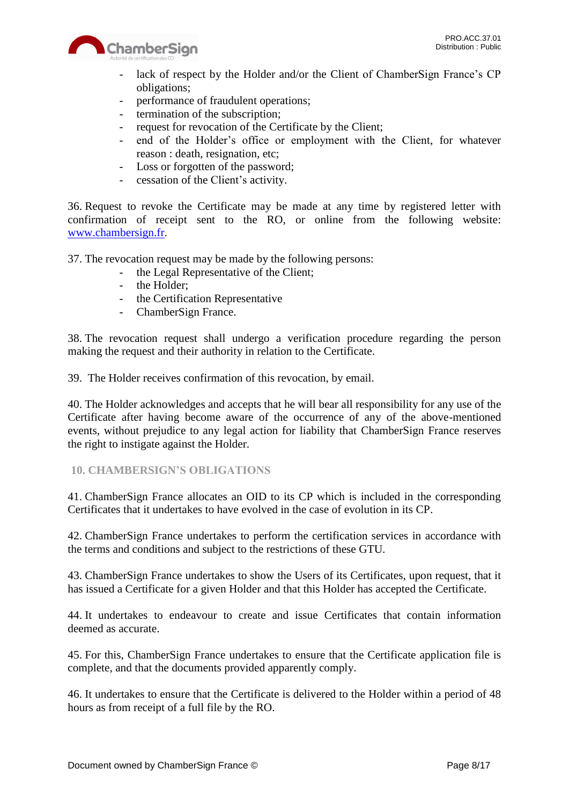

- lack of respect by the Holder and/or the Client of ChamberSign France's CP obligations;
- performance of fraudulent operations;
- termination of the subscription;
- request for revocation of the Certificate by the Client;
- end of the Holder's office or employment with the Client, for whatever reason : death, resignation, etc;
- Loss or forgotten of the password;
- cessation of the Client's activity.

36. Request to revoke the Certificate may be made at any time by registered letter with confirmation of receipt sent to the RO, or online from the following website: [www.chambersign.fr.](http://www.chambersign.fr/)

37. The revocation request may be made by the following persons:

- the Legal Representative of the Client;
- the Holder;
- the Certification Representative
- ChamberSign France.

38. The revocation request shall undergo a verification procedure regarding the person making the request and their authority in relation to the Certificate.

39. The Holder receives confirmation of this revocation, by email.

40. The Holder acknowledges and accepts that he will bear all responsibility for any use of the Certificate after having become aware of the occurrence of any of the above-mentioned events, without prejudice to any legal action for liability that ChamberSign France reserves the right to instigate against the Holder.

## <span id="page-7-0"></span>**10. CHAMBERSIGN'S OBLIGATIONS**

41. ChamberSign France allocates an OID to its CP which is included in the corresponding Certificates that it undertakes to have evolved in the case of evolution in its CP.

42. ChamberSign France undertakes to perform the certification services in accordance with the terms and conditions and subject to the restrictions of these GTU.

43. ChamberSign France undertakes to show the Users of its Certificates, upon request, that it has issued a Certificate for a given Holder and that this Holder has accepted the Certificate.

44. It undertakes to endeavour to create and issue Certificates that contain information deemed as accurate.

45. For this, ChamberSign France undertakes to ensure that the Certificate application file is complete, and that the documents provided apparently comply.

46. It undertakes to ensure that the Certificate is delivered to the Holder within a period of 48 hours as from receipt of a full file by the RO.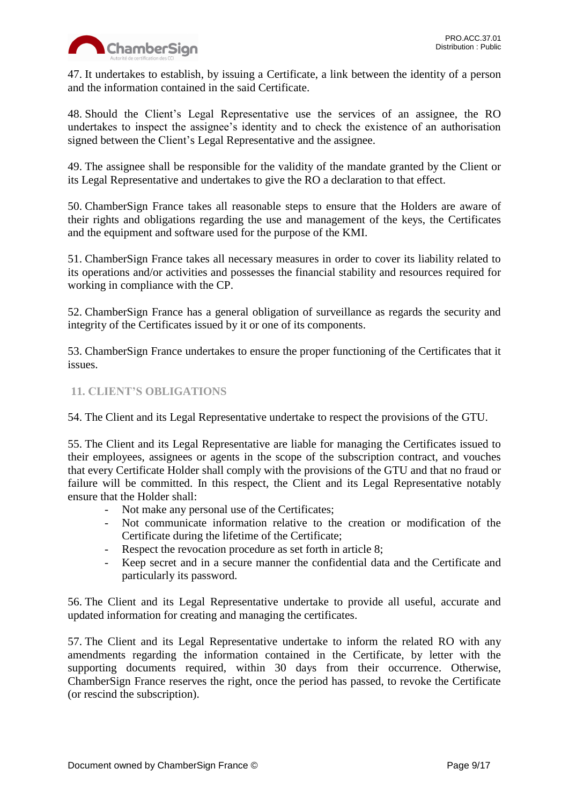

47. It undertakes to establish, by issuing a Certificate, a link between the identity of a person and the information contained in the said Certificate.

48. Should the Client's Legal Representative use the services of an assignee, the RO undertakes to inspect the assignee's identity and to check the existence of an authorisation signed between the Client's Legal Representative and the assignee.

49. The assignee shall be responsible for the validity of the mandate granted by the Client or its Legal Representative and undertakes to give the RO a declaration to that effect.

50. ChamberSign France takes all reasonable steps to ensure that the Holders are aware of their rights and obligations regarding the use and management of the keys, the Certificates and the equipment and software used for the purpose of the KMI.

51. ChamberSign France takes all necessary measures in order to cover its liability related to its operations and/or activities and possesses the financial stability and resources required for working in compliance with the CP.

52. ChamberSign France has a general obligation of surveillance as regards the security and integrity of the Certificates issued by it or one of its components.

53. ChamberSign France undertakes to ensure the proper functioning of the Certificates that it issues.

## <span id="page-8-0"></span>**11. CLIENT'S OBLIGATIONS**

54. The Client and its Legal Representative undertake to respect the provisions of the GTU.

55. The Client and its Legal Representative are liable for managing the Certificates issued to their employees, assignees or agents in the scope of the subscription contract, and vouches that every Certificate Holder shall comply with the provisions of the GTU and that no fraud or failure will be committed. In this respect, the Client and its Legal Representative notably ensure that the Holder shall:

- Not make any personal use of the Certificates;
- Not communicate information relative to the creation or modification of the Certificate during the lifetime of the Certificate;
- Respect the revocation procedure as set forth in article 8;
- Keep secret and in a secure manner the confidential data and the Certificate and particularly its password.

56. The Client and its Legal Representative undertake to provide all useful, accurate and updated information for creating and managing the certificates.

57. The Client and its Legal Representative undertake to inform the related RO with any amendments regarding the information contained in the Certificate, by letter with the supporting documents required, within 30 days from their occurrence. Otherwise, ChamberSign France reserves the right, once the period has passed, to revoke the Certificate (or rescind the subscription).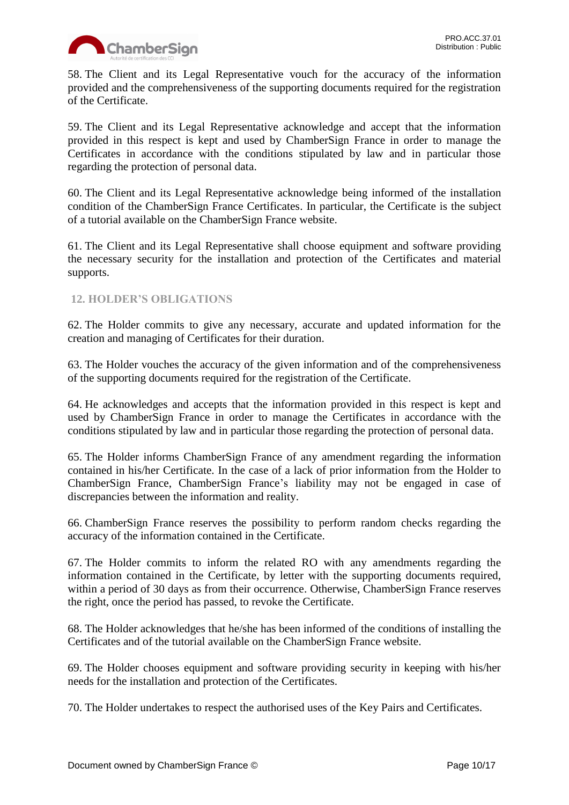

58. The Client and its Legal Representative vouch for the accuracy of the information provided and the comprehensiveness of the supporting documents required for the registration of the Certificate.

59. The Client and its Legal Representative acknowledge and accept that the information provided in this respect is kept and used by ChamberSign France in order to manage the Certificates in accordance with the conditions stipulated by law and in particular those regarding the protection of personal data.

60. The Client and its Legal Representative acknowledge being informed of the installation condition of the ChamberSign France Certificates. In particular, the Certificate is the subject of a tutorial available on the ChamberSign France website.

61. The Client and its Legal Representative shall choose equipment and software providing the necessary security for the installation and protection of the Certificates and material supports.

## <span id="page-9-0"></span>**12. HOLDER'S OBLIGATIONS**

62. The Holder commits to give any necessary, accurate and updated information for the creation and managing of Certificates for their duration.

63. The Holder vouches the accuracy of the given information and of the comprehensiveness of the supporting documents required for the registration of the Certificate.

64. He acknowledges and accepts that the information provided in this respect is kept and used by ChamberSign France in order to manage the Certificates in accordance with the conditions stipulated by law and in particular those regarding the protection of personal data.

65. The Holder informs ChamberSign France of any amendment regarding the information contained in his/her Certificate. In the case of a lack of prior information from the Holder to ChamberSign France, ChamberSign France's liability may not be engaged in case of discrepancies between the information and reality.

66. ChamberSign France reserves the possibility to perform random checks regarding the accuracy of the information contained in the Certificate.

67. The Holder commits to inform the related RO with any amendments regarding the information contained in the Certificate, by letter with the supporting documents required, within a period of 30 days as from their occurrence. Otherwise, ChamberSign France reserves the right, once the period has passed, to revoke the Certificate.

68. The Holder acknowledges that he/she has been informed of the conditions of installing the Certificates and of the tutorial available on the ChamberSign France website.

69. The Holder chooses equipment and software providing security in keeping with his/her needs for the installation and protection of the Certificates.

70. The Holder undertakes to respect the authorised uses of the Key Pairs and Certificates.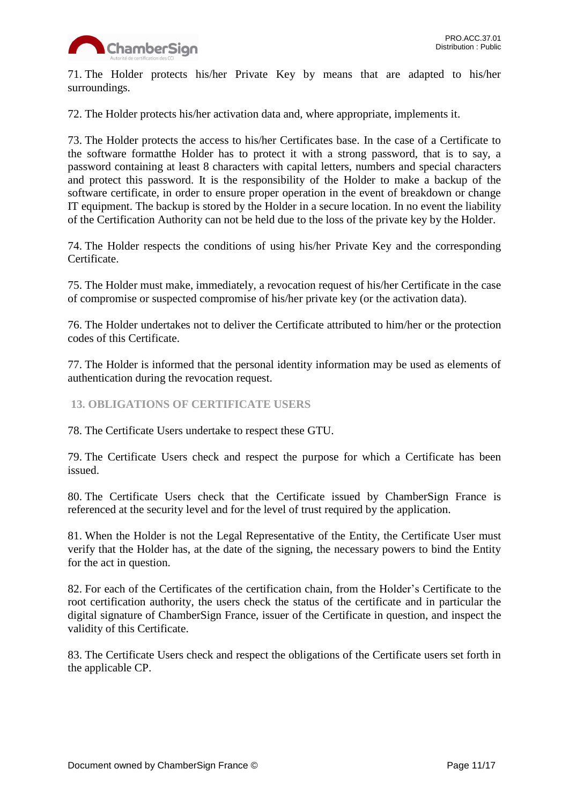

71. The Holder protects his/her Private Key by means that are adapted to his/her surroundings.

72. The Holder protects his/her activation data and, where appropriate, implements it.

73. The Holder protects the access to his/her Certificates base. In the case of a Certificate to the software formatthe Holder has to protect it with a strong password, that is to say, a password containing at least 8 characters with capital letters, numbers and special characters and protect this password. It is the responsibility of the Holder to make a backup of the software certificate, in order to ensure proper operation in the event of breakdown or change IT equipment. The backup is stored by the Holder in a secure location. In no event the liability of the Certification Authority can not be held due to the loss of the private key by the Holder.

74. The Holder respects the conditions of using his/her Private Key and the corresponding Certificate.

75. The Holder must make, immediately, a revocation request of his/her Certificate in the case of compromise or suspected compromise of his/her private key (or the activation data).

76. The Holder undertakes not to deliver the Certificate attributed to him/her or the protection codes of this Certificate.

77. The Holder is informed that the personal identity information may be used as elements of authentication during the revocation request.

<span id="page-10-0"></span>**13. OBLIGATIONS OF CERTIFICATE USERS**

78. The Certificate Users undertake to respect these GTU.

79. The Certificate Users check and respect the purpose for which a Certificate has been issued.

80. The Certificate Users check that the Certificate issued by ChamberSign France is referenced at the security level and for the level of trust required by the application.

81. When the Holder is not the Legal Representative of the Entity, the Certificate User must verify that the Holder has, at the date of the signing, the necessary powers to bind the Entity for the act in question.

82. For each of the Certificates of the certification chain, from the Holder's Certificate to the root certification authority, the users check the status of the certificate and in particular the digital signature of ChamberSign France, issuer of the Certificate in question, and inspect the validity of this Certificate.

83. The Certificate Users check and respect the obligations of the Certificate users set forth in the applicable CP.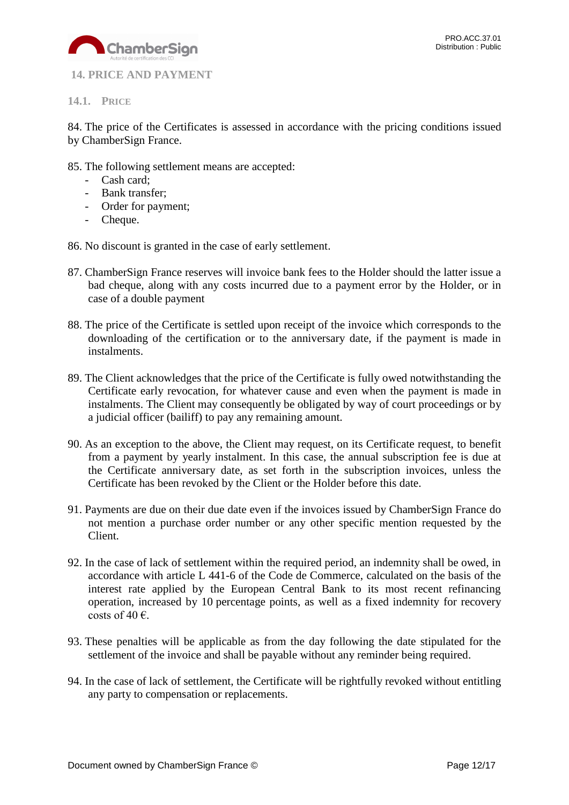

<span id="page-11-0"></span>**14. PRICE AND PAYMENT**

<span id="page-11-1"></span>**14.1. PRICE**

84. The price of the Certificates is assessed in accordance with the pricing conditions issued by ChamberSign France.

- 85. The following settlement means are accepted:
	- Cash card;
	- Bank transfer;
	- Order for payment;
	- Cheque.
- 86. No discount is granted in the case of early settlement.
- 87. ChamberSign France reserves will invoice bank fees to the Holder should the latter issue a bad cheque, along with any costs incurred due to a payment error by the Holder, or in case of a double payment
- 88. The price of the Certificate is settled upon receipt of the invoice which corresponds to the downloading of the certification or to the anniversary date, if the payment is made in instalments.
- 89. The Client acknowledges that the price of the Certificate is fully owed notwithstanding the Certificate early revocation, for whatever cause and even when the payment is made in instalments. The Client may consequently be obligated by way of court proceedings or by a judicial officer (bailiff) to pay any remaining amount.
- 90. As an exception to the above, the Client may request, on its Certificate request, to benefit from a payment by yearly instalment. In this case, the annual subscription fee is due at the Certificate anniversary date, as set forth in the subscription invoices, unless the Certificate has been revoked by the Client or the Holder before this date.
- 91. Payments are due on their due date even if the invoices issued by ChamberSign France do not mention a purchase order number or any other specific mention requested by the Client.
- 92. In the case of lack of settlement within the required period, an indemnity shall be owed, in accordance with article L 441-6 of the Code de Commerce, calculated on the basis of the interest rate applied by the European Central Bank to its most recent refinancing operation, increased by 10 percentage points, as well as a fixed indemnity for recovery costs of 40  $\epsilon$ .
- 93. These penalties will be applicable as from the day following the date stipulated for the settlement of the invoice and shall be payable without any reminder being required.
- 94. In the case of lack of settlement, the Certificate will be rightfully revoked without entitling any party to compensation or replacements.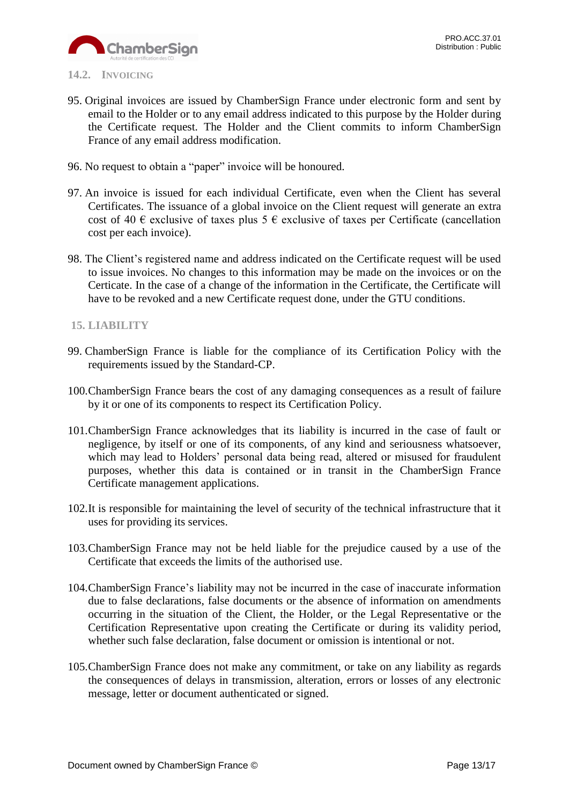

### <span id="page-12-0"></span>**14.2. INVOICING**

- 95. Original invoices are issued by ChamberSign France under electronic form and sent by email to the Holder or to any email address indicated to this purpose by the Holder during the Certificate request. The Holder and the Client commits to inform ChamberSign France of any email address modification.
- 96. No request to obtain a "paper" invoice will be honoured.
- 97. An invoice is issued for each individual Certificate, even when the Client has several Certificates. The issuance of a global invoice on the Client request will generate an extra cost of 40  $\epsilon$  exclusive of taxes plus 5  $\epsilon$  exclusive of taxes per Certificate (cancellation cost per each invoice).
- 98. The Client's registered name and address indicated on the Certificate request will be used to issue invoices. No changes to this information may be made on the invoices or on the Certicate. In the case of a change of the information in the Certificate, the Certificate will have to be revoked and a new Certificate request done, under the GTU conditions.

## <span id="page-12-1"></span>**15. LIABILITY**

- 99. ChamberSign France is liable for the compliance of its Certification Policy with the requirements issued by the Standard-CP.
- 100.ChamberSign France bears the cost of any damaging consequences as a result of failure by it or one of its components to respect its Certification Policy.
- 101.ChamberSign France acknowledges that its liability is incurred in the case of fault or negligence, by itself or one of its components, of any kind and seriousness whatsoever, which may lead to Holders' personal data being read, altered or misused for fraudulent purposes, whether this data is contained or in transit in the ChamberSign France Certificate management applications.
- 102.It is responsible for maintaining the level of security of the technical infrastructure that it uses for providing its services.
- 103.ChamberSign France may not be held liable for the prejudice caused by a use of the Certificate that exceeds the limits of the authorised use.
- 104.ChamberSign France's liability may not be incurred in the case of inaccurate information due to false declarations, false documents or the absence of information on amendments occurring in the situation of the Client, the Holder, or the Legal Representative or the Certification Representative upon creating the Certificate or during its validity period, whether such false declaration, false document or omission is intentional or not.
- 105.ChamberSign France does not make any commitment, or take on any liability as regards the consequences of delays in transmission, alteration, errors or losses of any electronic message, letter or document authenticated or signed.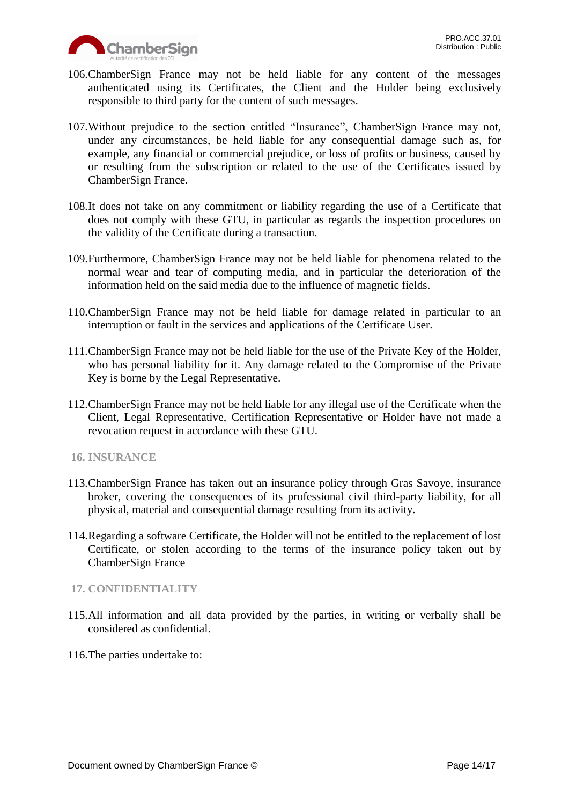

- 106.ChamberSign France may not be held liable for any content of the messages authenticated using its Certificates, the Client and the Holder being exclusively responsible to third party for the content of such messages.
- 107.Without prejudice to the section entitled "Insurance", ChamberSign France may not, under any circumstances, be held liable for any consequential damage such as, for example, any financial or commercial prejudice, or loss of profits or business, caused by or resulting from the subscription or related to the use of the Certificates issued by ChamberSign France.
- 108.It does not take on any commitment or liability regarding the use of a Certificate that does not comply with these GTU, in particular as regards the inspection procedures on the validity of the Certificate during a transaction.
- 109.Furthermore, ChamberSign France may not be held liable for phenomena related to the normal wear and tear of computing media, and in particular the deterioration of the information held on the said media due to the influence of magnetic fields.
- 110.ChamberSign France may not be held liable for damage related in particular to an interruption or fault in the services and applications of the Certificate User.
- 111.ChamberSign France may not be held liable for the use of the Private Key of the Holder, who has personal liability for it. Any damage related to the Compromise of the Private Key is borne by the Legal Representative.
- 112.ChamberSign France may not be held liable for any illegal use of the Certificate when the Client, Legal Representative, Certification Representative or Holder have not made a revocation request in accordance with these GTU.
- <span id="page-13-0"></span>**16. INSURANCE**
- 113.ChamberSign France has taken out an insurance policy through Gras Savoye, insurance broker, covering the consequences of its professional civil third-party liability, for all physical, material and consequential damage resulting from its activity.
- 114.Regarding a software Certificate, the Holder will not be entitled to the replacement of lost Certificate, or stolen according to the terms of the insurance policy taken out by ChamberSign France

## <span id="page-13-1"></span>**17. CONFIDENTIALITY**

- 115.All information and all data provided by the parties, in writing or verbally shall be considered as confidential.
- 116.The parties undertake to: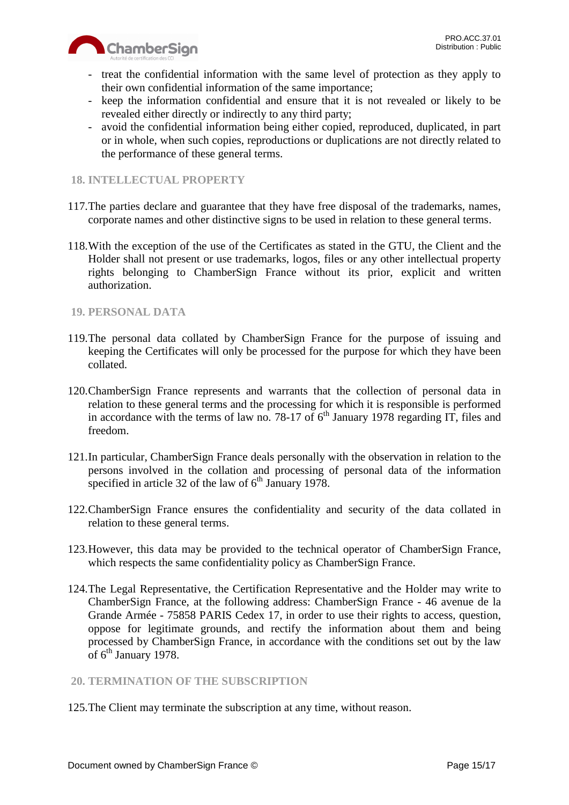



- treat the confidential information with the same level of protection as they apply to their own confidential information of the same importance;
- keep the information confidential and ensure that it is not revealed or likely to be revealed either directly or indirectly to any third party;
- avoid the confidential information being either copied, reproduced, duplicated, in part or in whole, when such copies, reproductions or duplications are not directly related to the performance of these general terms.

## <span id="page-14-0"></span>**18. INTELLECTUAL PROPERTY**

- 117.The parties declare and guarantee that they have free disposal of the trademarks, names, corporate names and other distinctive signs to be used in relation to these general terms.
- 118.With the exception of the use of the Certificates as stated in the GTU, the Client and the Holder shall not present or use trademarks, logos, files or any other intellectual property rights belonging to ChamberSign France without its prior, explicit and written authorization.

## <span id="page-14-1"></span>**19. PERSONAL DATA**

- 119.The personal data collated by ChamberSign France for the purpose of issuing and keeping the Certificates will only be processed for the purpose for which they have been collated.
- 120.ChamberSign France represents and warrants that the collection of personal data in relation to these general terms and the processing for which it is responsible is performed in accordance with the terms of law no. 78-17 of  $6<sup>th</sup>$  January 1978 regarding IT, files and freedom.
- 121.In particular, ChamberSign France deals personally with the observation in relation to the persons involved in the collation and processing of personal data of the information specified in article 32 of the law of  $6<sup>th</sup>$  January 1978.
- 122.ChamberSign France ensures the confidentiality and security of the data collated in relation to these general terms.
- 123.However, this data may be provided to the technical operator of ChamberSign France, which respects the same confidentiality policy as ChamberSign France.
- 124.The Legal Representative, the Certification Representative and the Holder may write to ChamberSign France, at the following address: ChamberSign France - 46 avenue de la Grande Armée - 75858 PARIS Cedex 17, in order to use their rights to access, question, oppose for legitimate grounds, and rectify the information about them and being processed by ChamberSign France, in accordance with the conditions set out by the law of  $6^{\text{th}}$  January 1978.

## <span id="page-14-2"></span>**20. TERMINATION OF THE SUBSCRIPTION**

125.The Client may terminate the subscription at any time, without reason.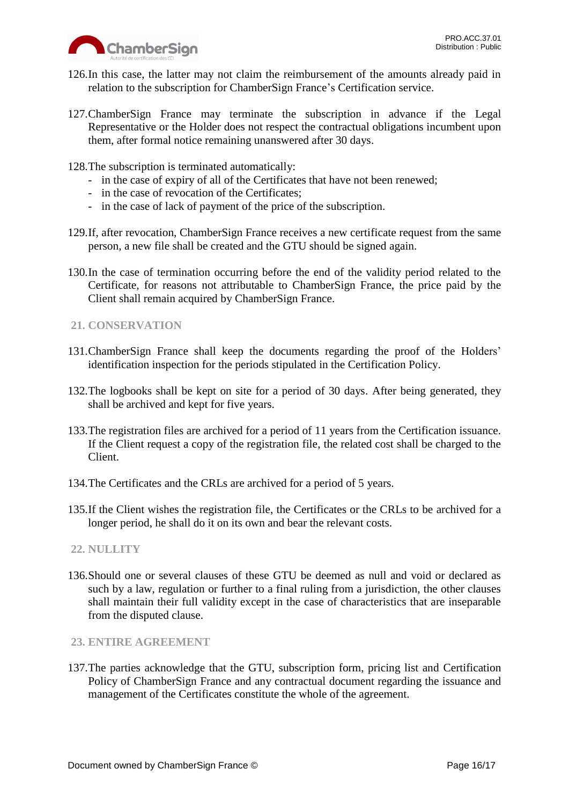

- 126.In this case, the latter may not claim the reimbursement of the amounts already paid in relation to the subscription for ChamberSign France's Certification service.
- 127.ChamberSign France may terminate the subscription in advance if the Legal Representative or the Holder does not respect the contractual obligations incumbent upon them, after formal notice remaining unanswered after 30 days.
- 128.The subscription is terminated automatically:
	- in the case of expiry of all of the Certificates that have not been renewed;
	- in the case of revocation of the Certificates;
	- in the case of lack of payment of the price of the subscription.
- 129.If, after revocation, ChamberSign France receives a new certificate request from the same person, a new file shall be created and the GTU should be signed again.
- 130.In the case of termination occurring before the end of the validity period related to the Certificate, for reasons not attributable to ChamberSign France, the price paid by the Client shall remain acquired by ChamberSign France.
- <span id="page-15-0"></span>**21. CONSERVATION**
- 131.ChamberSign France shall keep the documents regarding the proof of the Holders' identification inspection for the periods stipulated in the Certification Policy.
- 132.The logbooks shall be kept on site for a period of 30 days. After being generated, they shall be archived and kept for five years.
- 133.The registration files are archived for a period of 11 years from the Certification issuance. If the Client request a copy of the registration file, the related cost shall be charged to the Client.
- 134.The Certificates and the CRLs are archived for a period of 5 years.
- 135.If the Client wishes the registration file, the Certificates or the CRLs to be archived for a longer period, he shall do it on its own and bear the relevant costs.
- <span id="page-15-1"></span>**22. NULLITY**
- 136.Should one or several clauses of these GTU be deemed as null and void or declared as such by a law, regulation or further to a final ruling from a jurisdiction, the other clauses shall maintain their full validity except in the case of characteristics that are inseparable from the disputed clause.
- <span id="page-15-2"></span>**23. ENTIRE AGREEMENT**
- 137.The parties acknowledge that the GTU, subscription form, pricing list and Certification Policy of ChamberSign France and any contractual document regarding the issuance and management of the Certificates constitute the whole of the agreement.